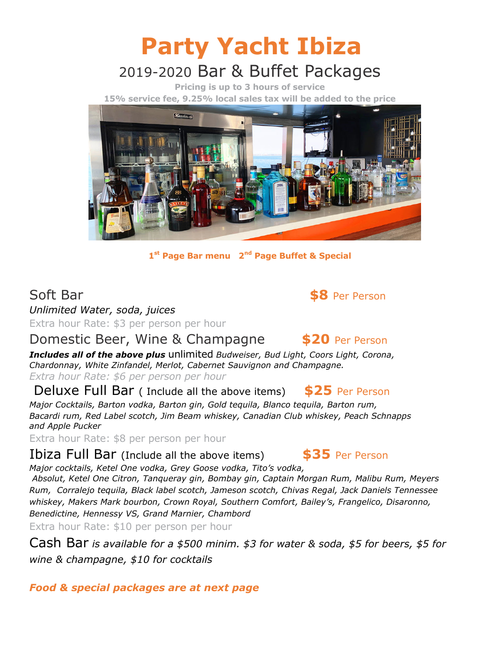# Party Yacht Ibiza 2019-2020 Bar & Buffet Packages

Pricing is up to 3 hours of service 15% service fee, 9.25% local sales tax will be added to the price



1<sup>st</sup> Page Bar menu 2<sup>nd</sup> Page Buffet & Special

Soft Bar  $\bullet$  Soft Bar  $\bullet$  S8 Per Person

Unlimited Water, soda, juices Extra hour Rate: \$3 per person per hour

#### Domestic Beer, Wine & Champagne \$20 Per Person

Includes all of the above plus unlimited Budweiser, Bud Light, Coors Light, Corona, Chardonnay, White Zinfandel, Merlot, Cabernet Sauvignon and Champagne.

Extra hour Rate: \$6 per person per hour

Deluxe Full Bar (Include all the above items) \$25 Per Person

Major Cocktails, Barton vodka, Barton gin, Gold tequila, Blanco tequila, Barton rum, Bacardi rum, Red Label scotch, Jim Beam whiskey, Canadian Club whiskey, Peach Schnapps and Apple Pucker

Extra hour Rate: \$8 per person per hour

Ibiza Full Bar (Include all the above items) \$35 Per Person

Major cocktails, Ketel One vodka, Grey Goose vodka, Tito's vodka,

 Absolut, Ketel One Citron, Tanqueray gin, Bombay gin, Captain Morgan Rum, Malibu Rum, Meyers Rum, Corralejo tequila, Black label scotch, Jameson scotch, Chivas Regal, Jack Daniels Tennessee whiskey, Makers Mark bourbon, Crown Royal, Southern Comfort, Bailey's, Frangelico, Disaronno, Benedictine, Hennessy VS, Grand Marnier, Chambord

Extra hour Rate: \$10 per person per hour

Cash Bar is available for a \$500 minim. \$3 for water & soda, \$5 for beers, \$5 for wine & champagne, \$10 for cocktails

#### Food & special packages are at next page